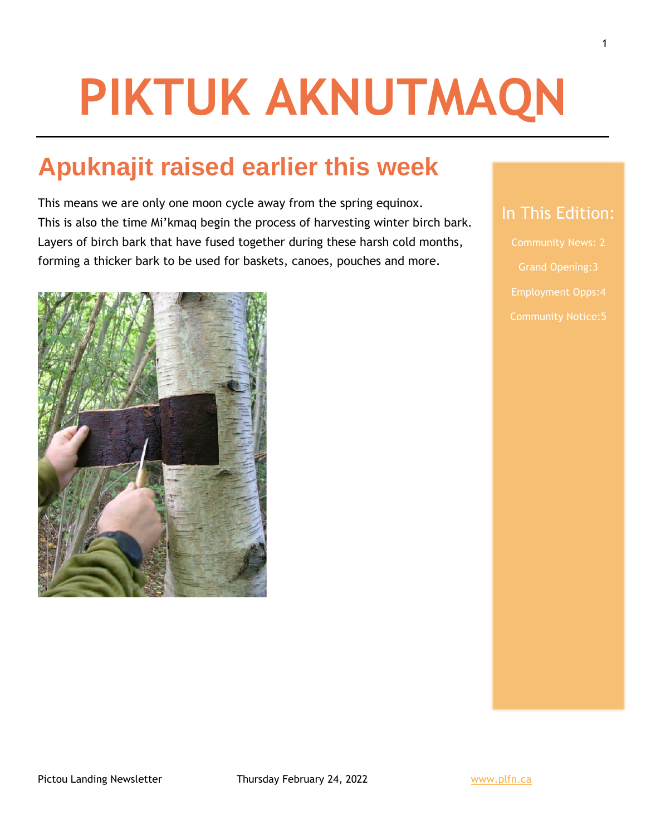# **PIKTUK AKNUTMAQN**

## **Apuknajit raised earlier this week**

This means we are only one moon cycle away from the spring equinox. This is also the time Mi'kmaq begin the process of harvesting winter birch bark. Layers of birch bark that have fused together during these harsh cold months, forming a thicker bark to be used for baskets, canoes, pouches and more.



Grand Opening:3

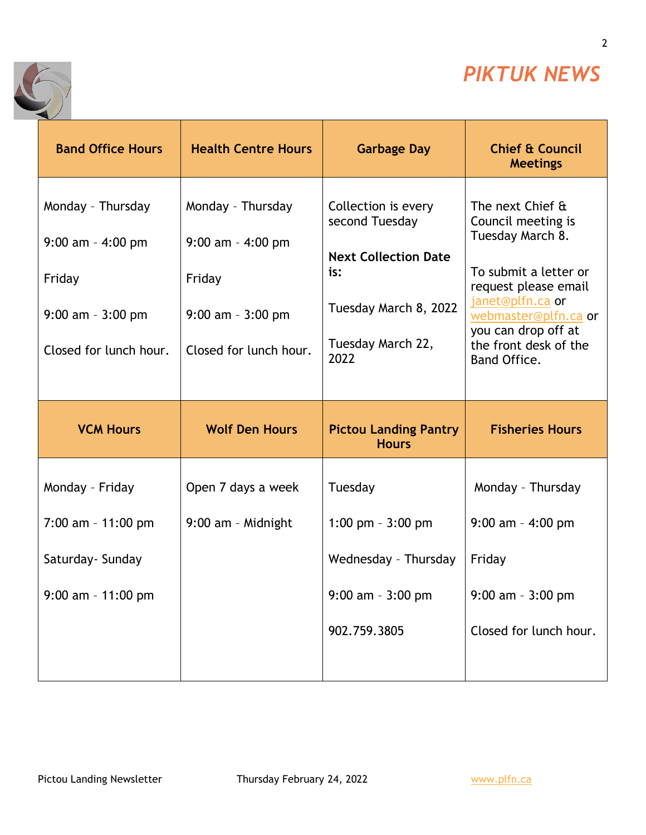

2

٦



| <b>Band Office Hours</b>                                                                                | <b>Health Centre Hours</b>                                                                            | <b>Garbage Day</b>                                                                                                                | <b>Chief &amp; Council</b><br><b>Meetings</b>                                                                                                                                                                           |
|---------------------------------------------------------------------------------------------------------|-------------------------------------------------------------------------------------------------------|-----------------------------------------------------------------------------------------------------------------------------------|-------------------------------------------------------------------------------------------------------------------------------------------------------------------------------------------------------------------------|
| Monday - Thursday<br>$9:00$ am - $4:00$ pm<br>Friday<br>$9:00$ am - $3:00$ pm<br>Closed for lunch hour. | Monday - Thursday<br>$9:00$ am - 4:00 pm<br>Friday<br>$9:00$ am - $3:00$ pm<br>Closed for lunch hour. | Collection is every<br>second Tuesday<br><b>Next Collection Date</b><br>is:<br>Tuesday March 8, 2022<br>Tuesday March 22,<br>2022 | The next Chief &<br>Council meeting is<br>Tuesday March 8.<br>To submit a letter or<br>request please email<br>janet@plfn.ca or<br>webmaster@plfn.ca or<br>you can drop off at<br>the front desk of the<br>Band Office. |
|                                                                                                         |                                                                                                       |                                                                                                                                   |                                                                                                                                                                                                                         |
| <b>VCM Hours</b>                                                                                        | <b>Wolf Den Hours</b>                                                                                 | <b>Pictou Landing Pantry</b><br><b>Hours</b>                                                                                      | <b>Fisheries Hours</b>                                                                                                                                                                                                  |
| Monday - Friday                                                                                         | Open 7 days a week                                                                                    | Tuesday                                                                                                                           | Monday - Thursday                                                                                                                                                                                                       |
| $7:00$ am - 11:00 pm                                                                                    | 9:00 am - Midnight                                                                                    | 1:00 pm $-3:00$ pm                                                                                                                | $9:00$ am - 4:00 pm                                                                                                                                                                                                     |
| Saturday- Sunday                                                                                        |                                                                                                       | Wednesday - Thursday                                                                                                              | Friday                                                                                                                                                                                                                  |
| $9:00$ am - 11:00 pm                                                                                    |                                                                                                       | $9:00$ am - $3:00$ pm                                                                                                             | $9:00$ am - $3:00$ pm                                                                                                                                                                                                   |
|                                                                                                         |                                                                                                       | 902.759.3805                                                                                                                      | Closed for lunch hour.                                                                                                                                                                                                  |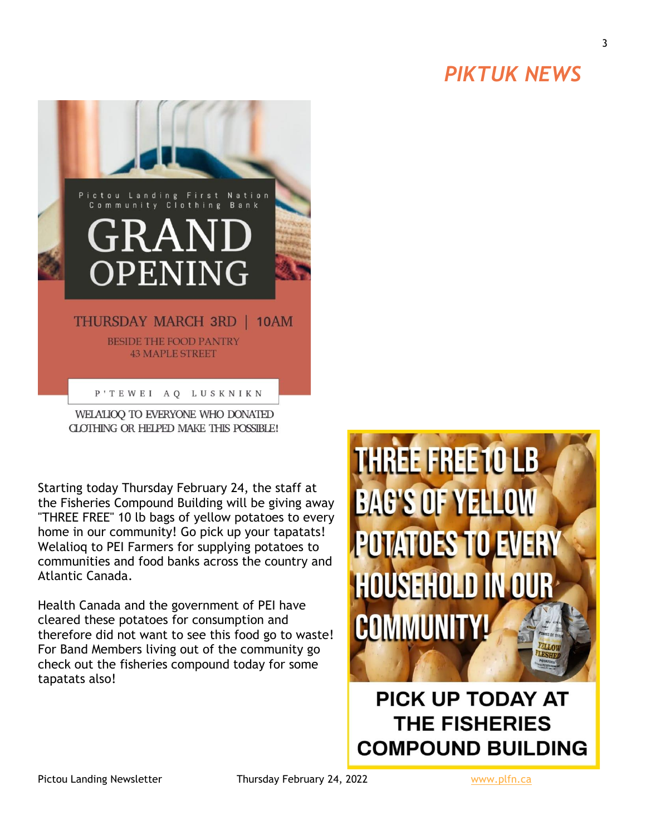## *PIKTUK NEWS*



WELALIOO TO EVERYONE WHO DONATED CLOTHING OR HELPED MAKE THIS POSSIBLE!

Starting today Thursday February 24, the staff at the Fisheries Compound Building will be giving away "THREE FREE" 10 lb bags of yellow potatoes to every home in our community! Go pick up your tapatats! Welalioq to PEI Farmers for supplying potatoes to communities and food banks across the country and Atlantic Canada.

Health Canada and the government of PEI have cleared these potatoes for consumption and therefore did not want to see this food go to waste! For Band Members living out of the community go check out the fisheries compound today for some tapatats also!



**PICK UP TODAY AT THE FISHERIES COMPOUND BUILDING** 

Pictou Landing Newsletter Thursday February 24, 2022 Www.plfn.ca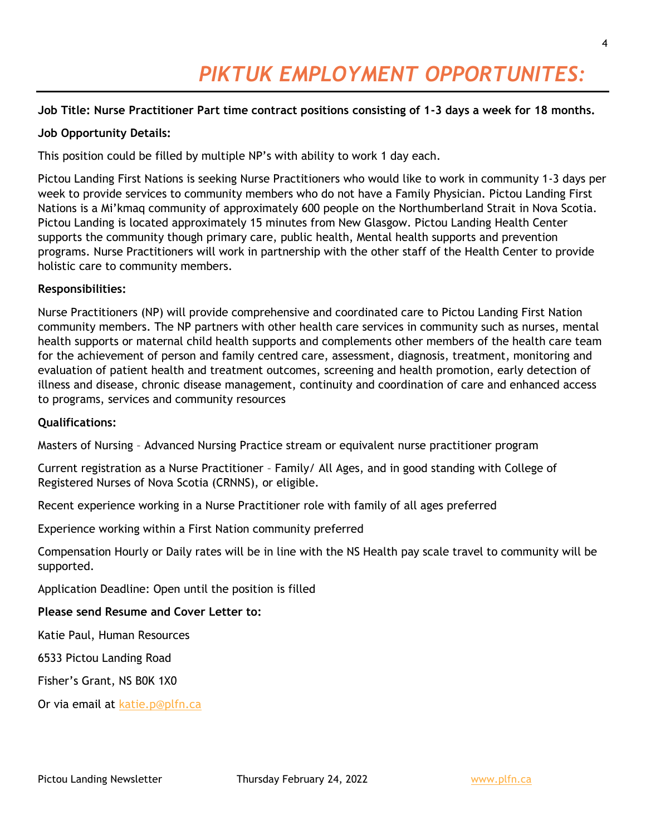## *PIKTUK EMPLOYMENT OPPORTUNITES:*

#### **Job Title: Nurse Practitioner Part time contract positions consisting of 1-3 days a week for 18 months.**

#### **Job Opportunity Details:**

This position could be filled by multiple NP's with ability to work 1 day each.

Pictou Landing First Nations is seeking Nurse Practitioners who would like to work in community 1-3 days per week to provide services to community members who do not have a Family Physician. Pictou Landing First Nations is a Mi'kmaq community of approximately 600 people on the Northumberland Strait in Nova Scotia. Pictou Landing is located approximately 15 minutes from New Glasgow. Pictou Landing Health Center supports the community though primary care, public health, Mental health supports and prevention programs. Nurse Practitioners will work in partnership with the other staff of the Health Center to provide holistic care to community members.

#### **Responsibilities:**

Nurse Practitioners (NP) will provide comprehensive and coordinated care to Pictou Landing First Nation community members. The NP partners with other health care services in community such as nurses, mental health supports or maternal child health supports and complements other members of the health care team for the achievement of person and family centred care, assessment, diagnosis, treatment, monitoring and evaluation of patient health and treatment outcomes, screening and health promotion, early detection of illness and disease, chronic disease management, continuity and coordination of care and enhanced access to programs, services and community resources

#### **Qualifications:**

Masters of Nursing – Advanced Nursing Practice stream or equivalent nurse practitioner program

Current registration as a Nurse Practitioner – Family/ All Ages, and in good standing with College of Registered Nurses of Nova Scotia (CRNNS), or eligible.

Recent experience working in a Nurse Practitioner role with family of all ages preferred

Experience working within a First Nation community preferred

Compensation Hourly or Daily rates will be in line with the NS Health pay scale travel to community will be supported.

Application Deadline: Open until the position is filled

#### **Please send Resume and Cover Letter to:**

Katie Paul, Human Resources

6533 Pictou Landing Road

Fisher's Grant, NS B0K 1X0

Or via email at [katie.p@plfn.ca](mailto:katie.p@plfn.ca)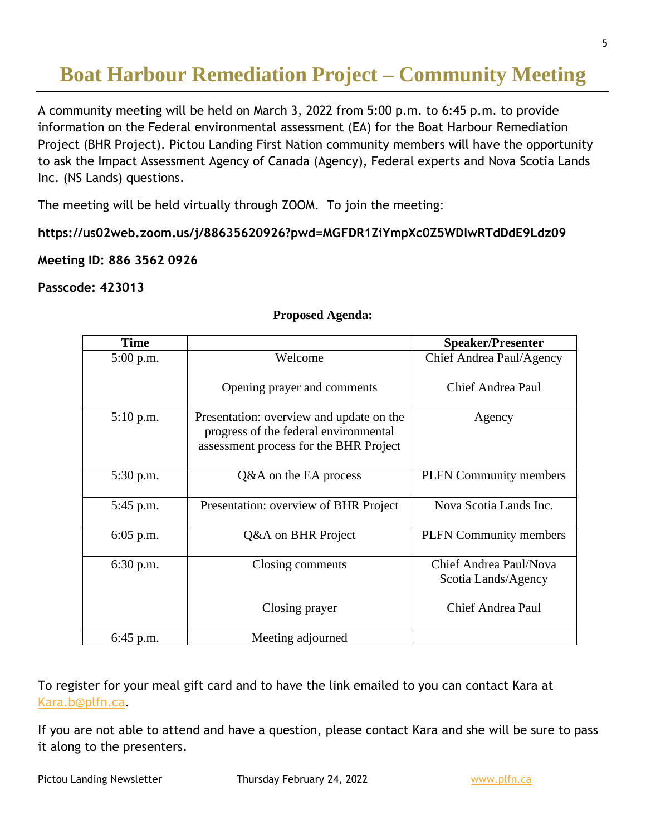## **Boat Harbour Remediation Project – Community Meeting**

A community meeting will be held on March 3, 2022 from 5:00 p.m. to 6:45 p.m. to provide information on the Federal environmental assessment (EA) for the Boat Harbour Remediation Project (BHR Project). Pictou Landing First Nation community members will have the opportunity to ask the Impact Assessment Agency of Canada (Agency), Federal experts and Nova Scotia Lands Inc. (NS Lands) questions.

The meeting will be held virtually through ZOOM. To join the meeting:

**https://us02web.zoom.us/j/88635620926?pwd=MGFDR1ZiYmpXc0Z5WDlwRTdDdE9Ldz09**

#### **Meeting ID: 886 3562 0926**

#### **Passcode: 423013**

| <b>Time</b> |                                                                                                                             | <b>Speaker/Presenter</b>                      |
|-------------|-----------------------------------------------------------------------------------------------------------------------------|-----------------------------------------------|
| 5:00 p.m.   | Welcome                                                                                                                     | Chief Andrea Paul/Agency                      |
|             | Opening prayer and comments                                                                                                 | Chief Andrea Paul                             |
| 5:10 p.m.   | Presentation: overview and update on the<br>progress of the federal environmental<br>assessment process for the BHR Project | Agency                                        |
| 5:30 p.m.   | Q&A on the EA process                                                                                                       | <b>PLFN</b> Community members                 |
| 5:45 p.m.   | Presentation: overview of BHR Project                                                                                       | Nova Scotia Lands Inc.                        |
| $6:05$ p.m. | Q&A on BHR Project                                                                                                          | <b>PLFN</b> Community members                 |
| 6:30 p.m.   | Closing comments                                                                                                            | Chief Andrea Paul/Nova<br>Scotia Lands/Agency |
|             | Closing prayer                                                                                                              | Chief Andrea Paul                             |
| $6:45$ p.m. | Meeting adjourned                                                                                                           |                                               |

#### **Proposed Agenda:**

To register for your meal gift card and to have the link emailed to you can contact Kara at [Kara.b@plfn.ca.](mailto:Kara.b@plfn.ca)

If you are not able to attend and have a question, please contact Kara and she will be sure to pass it along to the presenters.